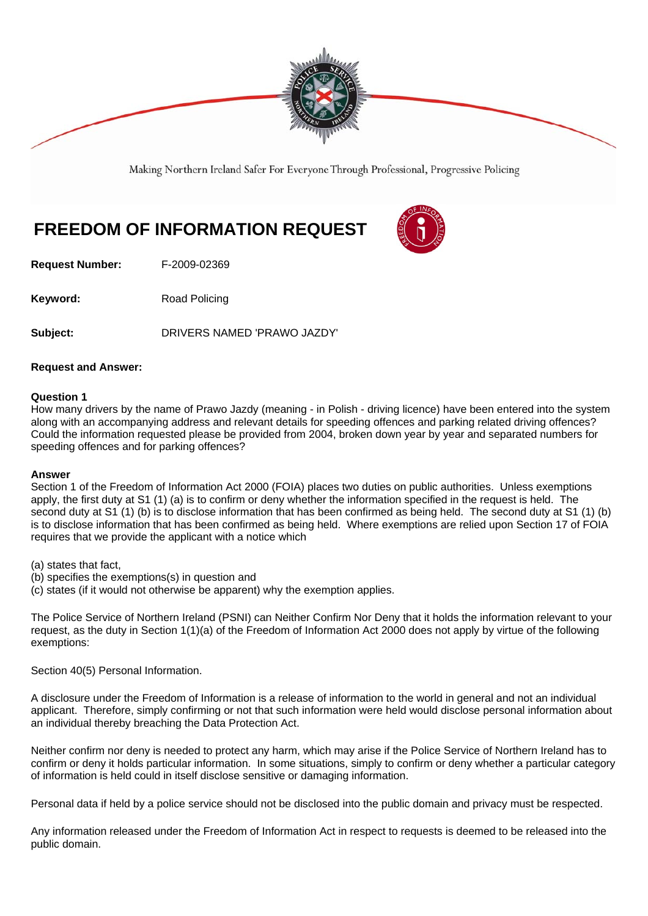

Making Northern Ireland Safer For Everyone Through Professional, Progressive Policing

# **FREEDOM OF INFORMATION REQUEST**

**Request Number:** F-2009-02369

**Keyword:** Road Policing

**Subject:** DRIVERS NAMED 'PRAWO JAZDY'

# **Request and Answer:**

# **Question 1**

How many drivers by the name of Prawo Jazdy (meaning - in Polish - driving licence) have been entered into the system along with an accompanying address and relevant details for speeding offences and parking related driving offences? Could the information requested please be provided from 2004, broken down year by year and separated numbers for speeding offences and for parking offences?

#### **Answer**

Section 1 of the Freedom of Information Act 2000 (FOIA) places two duties on public authorities. Unless exemptions apply, the first duty at S1 (1) (a) is to confirm or deny whether the information specified in the request is held. The second duty at S1 (1) (b) is to disclose information that has been confirmed as being held. The second duty at S1 (1) (b) is to disclose information that has been confirmed as being held. Where exemptions are relied upon Section 17 of FOIA requires that we provide the applicant with a notice which

(a) states that fact,

- (b) specifies the exemptions(s) in question and
- (c) states (if it would not otherwise be apparent) why the exemption applies.

The Police Service of Northern Ireland (PSNI) can Neither Confirm Nor Deny that it holds the information relevant to your request, as the duty in Section 1(1)(a) of the Freedom of Information Act 2000 does not apply by virtue of the following exemptions:

Section 40(5) Personal Information.

A disclosure under the Freedom of Information is a release of information to the world in general and not an individual applicant. Therefore, simply confirming or not that such information were held would disclose personal information about an individual thereby breaching the Data Protection Act.

Neither confirm nor deny is needed to protect any harm, which may arise if the Police Service of Northern Ireland has to confirm or deny it holds particular information. In some situations, simply to confirm or deny whether a particular category of information is held could in itself disclose sensitive or damaging information.

Personal data if held by a police service should not be disclosed into the public domain and privacy must be respected.

Any information released under the Freedom of Information Act in respect to requests is deemed to be released into the public domain.